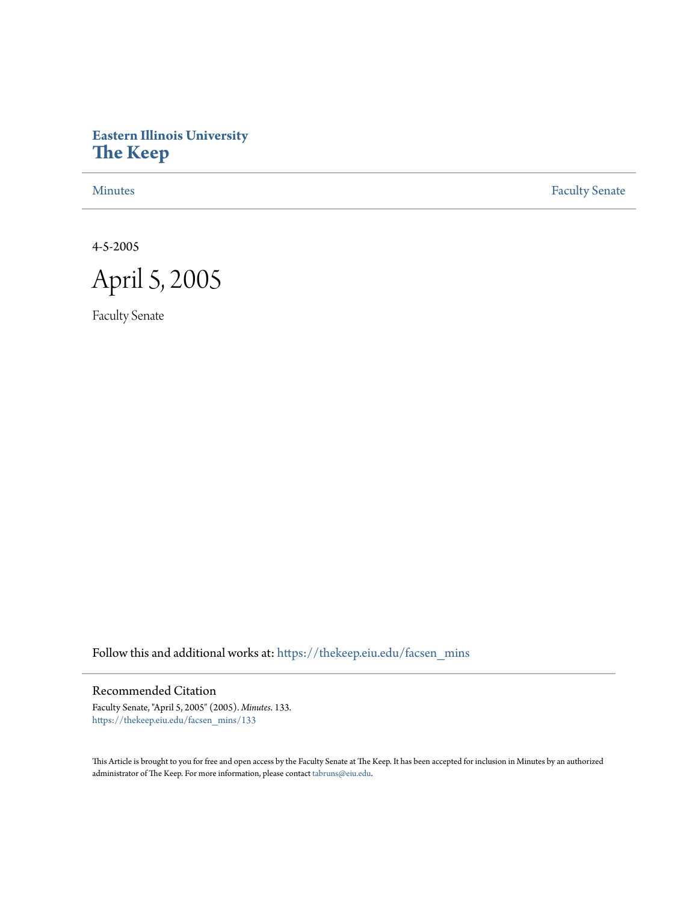# **Eastern Illinois University [The Keep](https://thekeep.eiu.edu?utm_source=thekeep.eiu.edu%2Ffacsen_mins%2F133&utm_medium=PDF&utm_campaign=PDFCoverPages)**

[Minutes](https://thekeep.eiu.edu/facsen_mins?utm_source=thekeep.eiu.edu%2Ffacsen_mins%2F133&utm_medium=PDF&utm_campaign=PDFCoverPages) **[Faculty Senate](https://thekeep.eiu.edu/fac_senate?utm_source=thekeep.eiu.edu%2Ffacsen_mins%2F133&utm_medium=PDF&utm_campaign=PDFCoverPages)** 

4-5-2005



Faculty Senate

Follow this and additional works at: [https://thekeep.eiu.edu/facsen\\_mins](https://thekeep.eiu.edu/facsen_mins?utm_source=thekeep.eiu.edu%2Ffacsen_mins%2F133&utm_medium=PDF&utm_campaign=PDFCoverPages)

## Recommended Citation

Faculty Senate, "April 5, 2005" (2005). *Minutes*. 133. [https://thekeep.eiu.edu/facsen\\_mins/133](https://thekeep.eiu.edu/facsen_mins/133?utm_source=thekeep.eiu.edu%2Ffacsen_mins%2F133&utm_medium=PDF&utm_campaign=PDFCoverPages)

This Article is brought to you for free and open access by the Faculty Senate at The Keep. It has been accepted for inclusion in Minutes by an authorized administrator of The Keep. For more information, please contact [tabruns@eiu.edu.](mailto:tabruns@eiu.edu)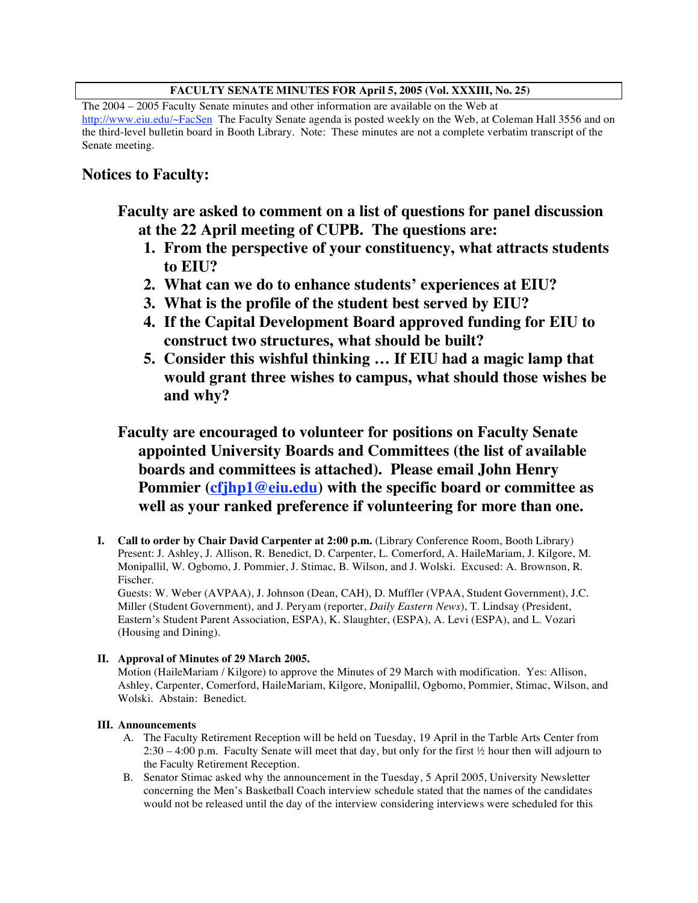## **FACULTY SENATE MINUTES FOR April 5, 2005 (Vol. XXXIII, No. 25)**

The 2004 – 2005 Faculty Senate minutes and other information are available on the Web at http://www.eiu.edu/~FacSen The Faculty Senate agenda is posted weekly on the Web, at Coleman Hall 3556 and on the third-level bulletin board in Booth Library. Note: These minutes are not a complete verbatim transcript of the Senate meeting.

## **Notices to Faculty:**

**Faculty are asked to comment on a list of questions for panel discussion at the 22 April meeting of CUPB. The questions are:**

- **1. From the perspective of your constituency, what attracts students to EIU?**
- **2. What can we do to enhance students' experiences at EIU?**
- **3. What is the profile of the student best served by EIU?**
- **4. If the Capital Development Board approved funding for EIU to construct two structures, what should be built?**
- **5. Consider this wishful thinking … If EIU had a magic lamp that would grant three wishes to campus, what should those wishes be and why?**

**Faculty are encouraged to volunteer for positions on Faculty Senate appointed University Boards and Committees (the list of available boards and committees is attached). Please email John Henry Pommier (cfjhp1@eiu.edu) with the specific board or committee as well as your ranked preference if volunteering for more than one.**

**I. Call to order by Chair David Carpenter at 2:00 p.m.** (Library Conference Room, Booth Library) Present: J. Ashley, J. Allison, R. Benedict, D. Carpenter, L. Comerford, A. HaileMariam, J. Kilgore, M. Monipallil, W. Ogbomo, J. Pommier, J. Stimac, B. Wilson, and J. Wolski. Excused: A. Brownson, R. Fischer.

Guests: W. Weber (AVPAA), J. Johnson (Dean, CAH), D. Muffler (VPAA, Student Government), J.C. Miller (Student Government), and J. Peryam (reporter, *Daily Eastern News*), T. Lindsay (President, Eastern's Student Parent Association, ESPA), K. Slaughter, (ESPA), A. Levi (ESPA), and L. Vozari (Housing and Dining).

## **II. Approval of Minutes of 29 March 2005.**

Motion (HaileMariam / Kilgore) to approve the Minutes of 29 March with modification. Yes: Allison, Ashley, Carpenter, Comerford, HaileMariam, Kilgore, Monipallil, Ogbomo, Pommier, Stimac, Wilson, and Wolski. Abstain: Benedict.

## **III. Announcements**

- A. The Faculty Retirement Reception will be held on Tuesday, 19 April in the Tarble Arts Center from 2:30 – 4:00 p.m. Faculty Senate will meet that day, but only for the first ½ hour then will adjourn to the Faculty Retirement Reception.
- B. Senator Stimac asked why the announcement in the Tuesday, 5 April 2005, University Newsletter concerning the Men's Basketball Coach interview schedule stated that the names of the candidates would not be released until the day of the interview considering interviews were scheduled for this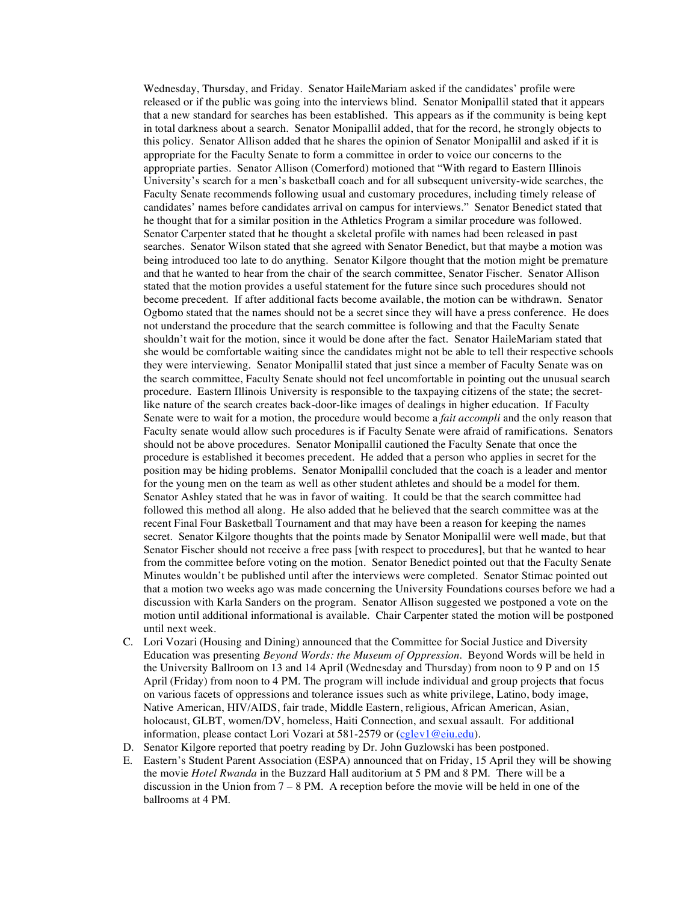Wednesday, Thursday, and Friday. Senator HaileMariam asked if the candidates' profile were released or if the public was going into the interviews blind. Senator Monipallil stated that it appears that a new standard for searches has been established. This appears as if the community is being kept in total darkness about a search. Senator Monipallil added, that for the record, he strongly objects to this policy. Senator Allison added that he shares the opinion of Senator Monipallil and asked if it is appropriate for the Faculty Senate to form a committee in order to voice our concerns to the appropriate parties. Senator Allison (Comerford) motioned that "With regard to Eastern Illinois University's search for a men's basketball coach and for all subsequent university-wide searches, the Faculty Senate recommends following usual and customary procedures, including timely release of candidates' names before candidates arrival on campus for interviews." Senator Benedict stated that he thought that for a similar position in the Athletics Program a similar procedure was followed. Senator Carpenter stated that he thought a skeletal profile with names had been released in past searches. Senator Wilson stated that she agreed with Senator Benedict, but that maybe a motion was being introduced too late to do anything. Senator Kilgore thought that the motion might be premature and that he wanted to hear from the chair of the search committee, Senator Fischer. Senator Allison stated that the motion provides a useful statement for the future since such procedures should not become precedent. If after additional facts become available, the motion can be withdrawn. Senator Ogbomo stated that the names should not be a secret since they will have a press conference. He does not understand the procedure that the search committee is following and that the Faculty Senate shouldn't wait for the motion, since it would be done after the fact. Senator HaileMariam stated that she would be comfortable waiting since the candidates might not be able to tell their respective schools they were interviewing. Senator Monipallil stated that just since a member of Faculty Senate was on the search committee, Faculty Senate should not feel uncomfortable in pointing out the unusual search procedure. Eastern Illinois University is responsible to the taxpaying citizens of the state; the secretlike nature of the search creates back-door-like images of dealings in higher education. If Faculty Senate were to wait for a motion, the procedure would become a *fait accompli* and the only reason that Faculty senate would allow such procedures is if Faculty Senate were afraid of ramifications. Senators should not be above procedures. Senator Monipallil cautioned the Faculty Senate that once the procedure is established it becomes precedent. He added that a person who applies in secret for the position may be hiding problems. Senator Monipallil concluded that the coach is a leader and mentor for the young men on the team as well as other student athletes and should be a model for them. Senator Ashley stated that he was in favor of waiting. It could be that the search committee had followed this method all along. He also added that he believed that the search committee was at the recent Final Four Basketball Tournament and that may have been a reason for keeping the names secret. Senator Kilgore thoughts that the points made by Senator Monipallil were well made, but that Senator Fischer should not receive a free pass [with respect to procedures], but that he wanted to hear from the committee before voting on the motion. Senator Benedict pointed out that the Faculty Senate Minutes wouldn't be published until after the interviews were completed. Senator Stimac pointed out that a motion two weeks ago was made concerning the University Foundations courses before we had a discussion with Karla Sanders on the program. Senator Allison suggested we postponed a vote on the motion until additional informational is available. Chair Carpenter stated the motion will be postponed until next week.

- C. Lori Vozari (Housing and Dining) announced that the Committee for Social Justice and Diversity Education was presenting *Beyond Words: the Museum of Oppression*. Beyond Words will be held in the University Ballroom on 13 and 14 April (Wednesday and Thursday) from noon to 9 P and on 15 April (Friday) from noon to 4 PM. The program will include individual and group projects that focus on various facets of oppressions and tolerance issues such as white privilege, Latino, body image, Native American, HIV/AIDS, fair trade, Middle Eastern, religious, African American, Asian, holocaust, GLBT, women/DV, homeless, Haiti Connection, and sexual assault. For additional information, please contact Lori Vozari at 581-2579 or (cglev1@eiu.edu).
- D. Senator Kilgore reported that poetry reading by Dr. John Guzlowski has been postponed.
- E. Eastern's Student Parent Association (ESPA) announced that on Friday, 15 April they will be showing the movie *Hotel Rwanda* in the Buzzard Hall auditorium at 5 PM and 8 PM. There will be a discussion in the Union from  $7 - 8$  PM. A reception before the movie will be held in one of the ballrooms at 4 PM.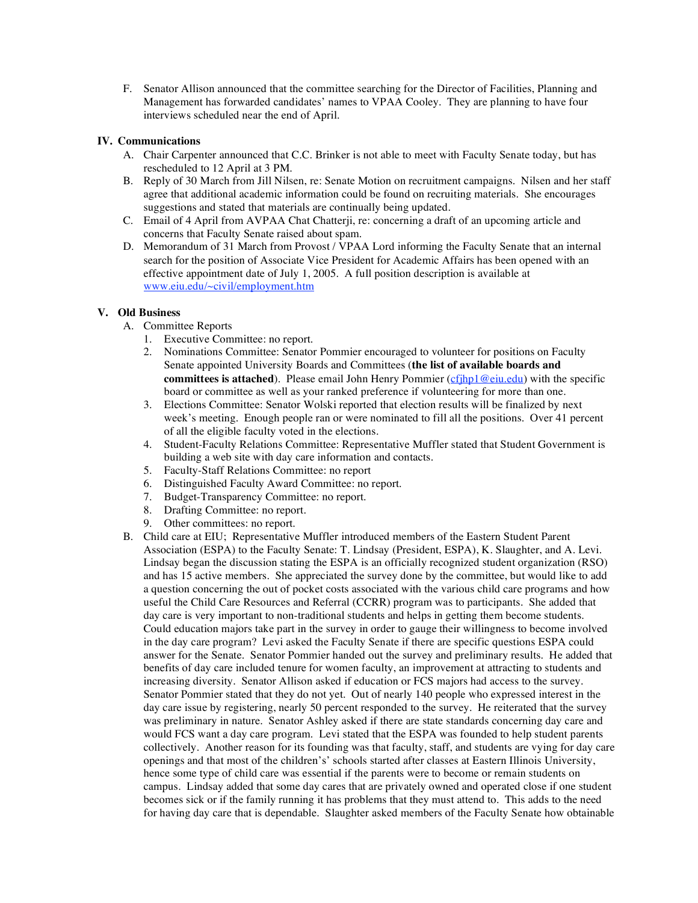F. Senator Allison announced that the committee searching for the Director of Facilities, Planning and Management has forwarded candidates' names to VPAA Cooley. They are planning to have four interviews scheduled near the end of April.

## **IV. Communications**

- A. Chair Carpenter announced that C.C. Brinker is not able to meet with Faculty Senate today, but has rescheduled to 12 April at 3 PM.
- B. Reply of 30 March from Jill Nilsen, re: Senate Motion on recruitment campaigns. Nilsen and her staff agree that additional academic information could be found on recruiting materials. She encourages suggestions and stated that materials are continually being updated.
- C. Email of 4 April from AVPAA Chat Chatterji, re: concerning a draft of an upcoming article and concerns that Faculty Senate raised about spam.
- D. Memorandum of 31 March from Provost / VPAA Lord informing the Faculty Senate that an internal search for the position of Associate Vice President for Academic Affairs has been opened with an effective appointment date of July 1, 2005. A full position description is available at www.eiu.edu/~civil/employment.htm

## **V. Old Business**

- A. Committee Reports
	- 1. Executive Committee: no report.
	- 2. Nominations Committee: Senator Pommier encouraged to volunteer for positions on Faculty Senate appointed University Boards and Committees (**the list of available boards and committees is attached**). Please email John Henry Pommier (cfjhp1@eiu.edu) with the specific board or committee as well as your ranked preference if volunteering for more than one.
	- 3. Elections Committee: Senator Wolski reported that election results will be finalized by next week's meeting. Enough people ran or were nominated to fill all the positions. Over 41 percent of all the eligible faculty voted in the elections.
	- 4. Student-Faculty Relations Committee: Representative Muffler stated that Student Government is building a web site with day care information and contacts.
	- 5. Faculty-Staff Relations Committee: no report
	- 6. Distinguished Faculty Award Committee: no report.
	- 7. Budget-Transparency Committee: no report.
	- 8. Drafting Committee: no report.
	- 9. Other committees: no report.
- B. Child care at EIU; Representative Muffler introduced members of the Eastern Student Parent Association (ESPA) to the Faculty Senate: T. Lindsay (President, ESPA), K. Slaughter, and A. Levi. Lindsay began the discussion stating the ESPA is an officially recognized student organization (RSO) and has 15 active members. She appreciated the survey done by the committee, but would like to add a question concerning the out of pocket costs associated with the various child care programs and how useful the Child Care Resources and Referral (CCRR) program was to participants. She added that day care is very important to non-traditional students and helps in getting them become students. Could education majors take part in the survey in order to gauge their willingness to become involved in the day care program? Levi asked the Faculty Senate if there are specific questions ESPA could answer for the Senate. Senator Pommier handed out the survey and preliminary results. He added that benefits of day care included tenure for women faculty, an improvement at attracting to students and increasing diversity. Senator Allison asked if education or FCS majors had access to the survey. Senator Pommier stated that they do not yet. Out of nearly 140 people who expressed interest in the day care issue by registering, nearly 50 percent responded to the survey. He reiterated that the survey was preliminary in nature. Senator Ashley asked if there are state standards concerning day care and would FCS want a day care program. Levi stated that the ESPA was founded to help student parents collectively. Another reason for its founding was that faculty, staff, and students are vying for day care openings and that most of the children's' schools started after classes at Eastern Illinois University, hence some type of child care was essential if the parents were to become or remain students on campus. Lindsay added that some day cares that are privately owned and operated close if one student becomes sick or if the family running it has problems that they must attend to. This adds to the need for having day care that is dependable. Slaughter asked members of the Faculty Senate how obtainable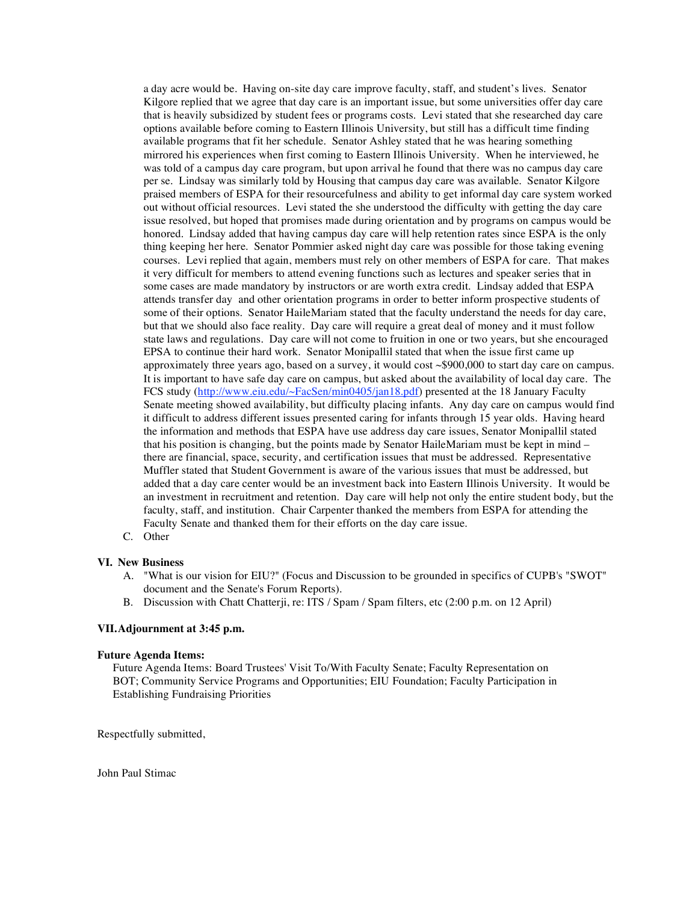a day acre would be. Having on-site day care improve faculty, staff, and student's lives. Senator Kilgore replied that we agree that day care is an important issue, but some universities offer day care that is heavily subsidized by student fees or programs costs. Levi stated that she researched day care options available before coming to Eastern Illinois University, but still has a difficult time finding available programs that fit her schedule. Senator Ashley stated that he was hearing something mirrored his experiences when first coming to Eastern Illinois University. When he interviewed, he was told of a campus day care program, but upon arrival he found that there was no campus day care per se. Lindsay was similarly told by Housing that campus day care was available. Senator Kilgore praised members of ESPA for their resourcefulness and ability to get informal day care system worked out without official resources. Levi stated the she understood the difficulty with getting the day care issue resolved, but hoped that promises made during orientation and by programs on campus would be honored. Lindsay added that having campus day care will help retention rates since ESPA is the only thing keeping her here. Senator Pommier asked night day care was possible for those taking evening courses. Levi replied that again, members must rely on other members of ESPA for care. That makes it very difficult for members to attend evening functions such as lectures and speaker series that in some cases are made mandatory by instructors or are worth extra credit. Lindsay added that ESPA attends transfer day and other orientation programs in order to better inform prospective students of some of their options. Senator HaileMariam stated that the faculty understand the needs for day care, but that we should also face reality. Day care will require a great deal of money and it must follow state laws and regulations. Day care will not come to fruition in one or two years, but she encouraged EPSA to continue their hard work. Senator Monipallil stated that when the issue first came up approximately three years ago, based on a survey, it would cost ~\$900,000 to start day care on campus. It is important to have safe day care on campus, but asked about the availability of local day care. The FCS study (http://www.eiu.edu/~FacSen/min0405/jan18.pdf) presented at the 18 January Faculty Senate meeting showed availability, but difficulty placing infants. Any day care on campus would find it difficult to address different issues presented caring for infants through 15 year olds. Having heard the information and methods that ESPA have use address day care issues, Senator Monipallil stated that his position is changing, but the points made by Senator HaileMariam must be kept in mind – there are financial, space, security, and certification issues that must be addressed. Representative Muffler stated that Student Government is aware of the various issues that must be addressed, but added that a day care center would be an investment back into Eastern Illinois University. It would be an investment in recruitment and retention. Day care will help not only the entire student body, but the faculty, staff, and institution. Chair Carpenter thanked the members from ESPA for attending the Faculty Senate and thanked them for their efforts on the day care issue.

C. Other

#### **VI. New Business**

- A. "What is our vision for EIU?" (Focus and Discussion to be grounded in specifics of CUPB's "SWOT" document and the Senate's Forum Reports).
- B. Discussion with Chatt Chatterji, re: ITS / Spam / Spam filters, etc (2:00 p.m. on 12 April)

#### **VII.Adjournment at 3:45 p.m.**

#### **Future Agenda Items:**

Future Agenda Items: Board Trustees' Visit To/With Faculty Senate; Faculty Representation on BOT; Community Service Programs and Opportunities; EIU Foundation; Faculty Participation in Establishing Fundraising Priorities

Respectfully submitted,

John Paul Stimac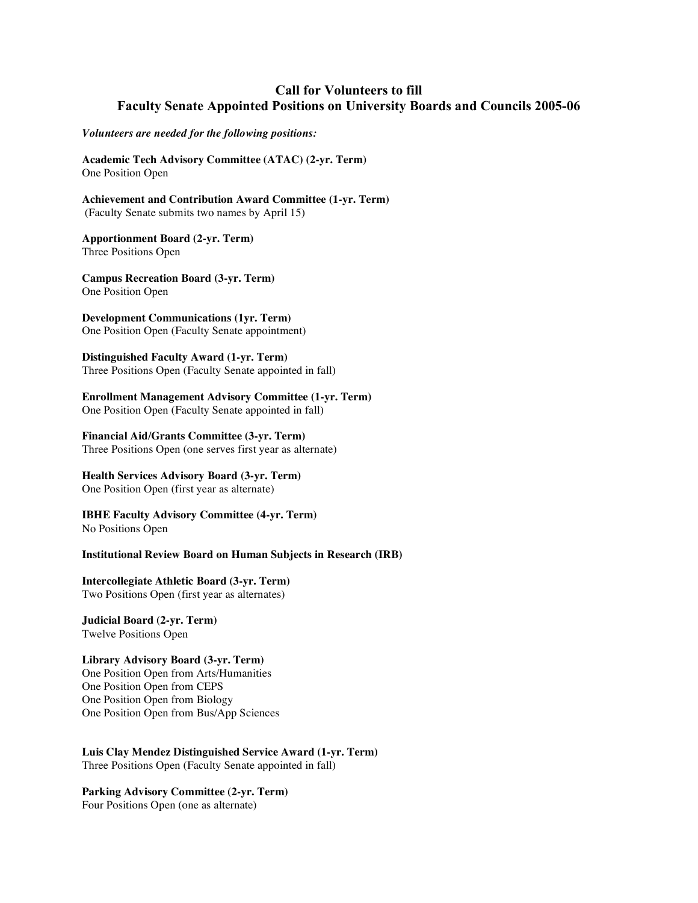## **Call for Volunteers to fill Faculty Senate Appointed Positions on University Boards and Councils 2005-06**

*Volunteers are needed for the following positions:*

**Academic Tech Advisory Committee (ATAC) (2-yr. Term)** One Position Open

**Achievement and Contribution Award Committee (1-yr. Term)** (Faculty Senate submits two names by April 15)

**Apportionment Board (2-yr. Term)** Three Positions Open

**Campus Recreation Board (3-yr. Term)** One Position Open

**Development Communications (1yr. Term)** One Position Open (Faculty Senate appointment)

**Distinguished Faculty Award (1-yr. Term)** Three Positions Open (Faculty Senate appointed in fall)

**Enrollment Management Advisory Committee (1-yr. Term)**

One Position Open (Faculty Senate appointed in fall)

### **Financial Aid/Grants Committee (3-yr. Term)**

Three Positions Open (one serves first year as alternate)

## **Health Services Advisory Board (3-yr. Term)**

One Position Open (first year as alternate)

**IBHE Faculty Advisory Committee (4-yr. Term)** No Positions Open

**Institutional Review Board on Human Subjects in Research (IRB)**

**Intercollegiate Athletic Board (3-yr. Term)** Two Positions Open (first year as alternates)

**Judicial Board (2-yr. Term)** Twelve Positions Open

## **Library Advisory Board (3-yr. Term)**

One Position Open from Arts/Humanities One Position Open from CEPS One Position Open from Biology One Position Open from Bus/App Sciences

**Luis Clay Mendez Distinguished Service Award (1-yr. Term)** Three Positions Open (Faculty Senate appointed in fall)

**Parking Advisory Committee (2-yr. Term)** Four Positions Open (one as alternate)